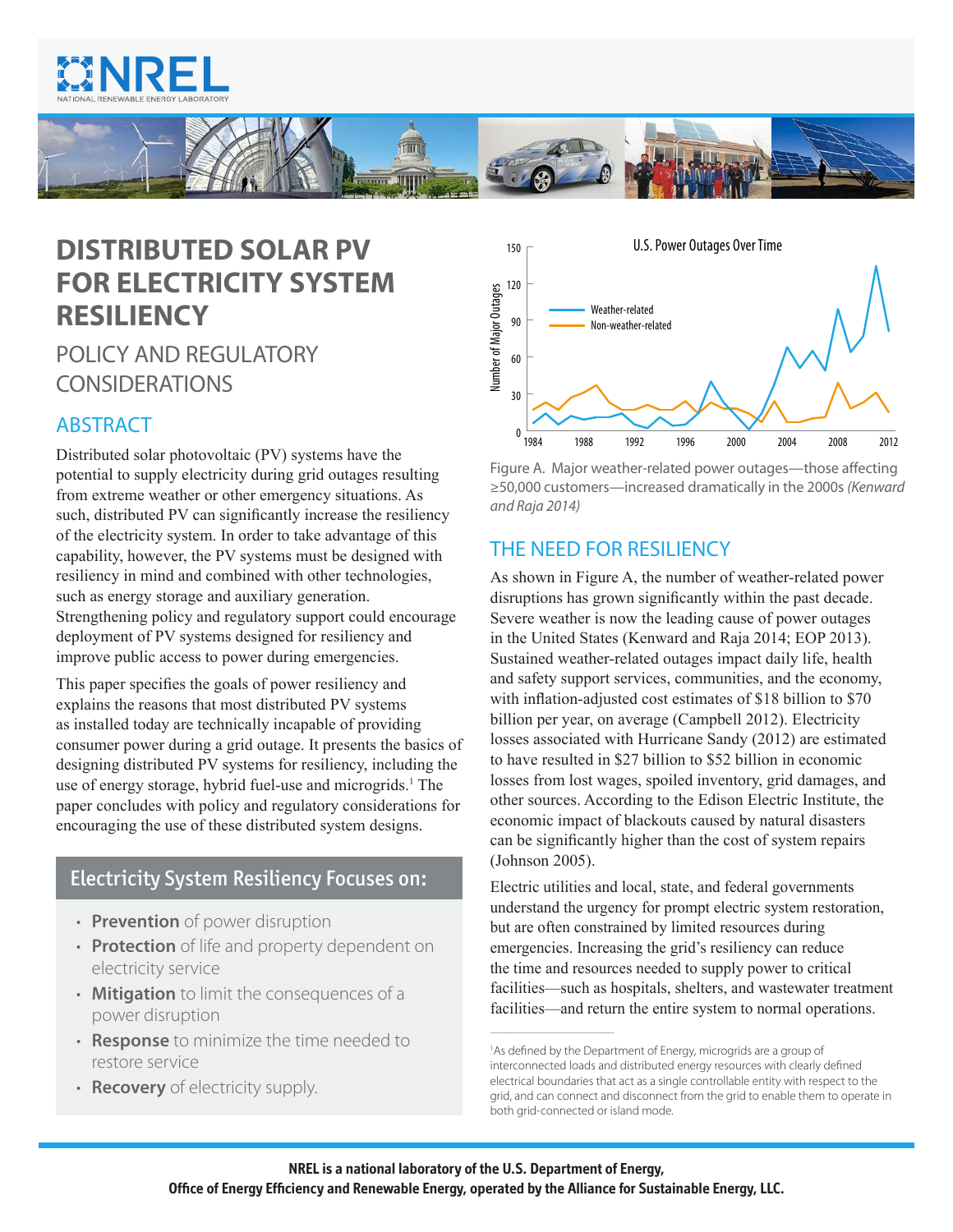



# **DISTRIBUTED SOLAR PV FOR ELECTRICITY SYSTEM RESILIENCY**

# POLICY AND REGULATORY CONSIDERATIONS

# ABSTRACT

Distributed solar photovoltaic (PV) systems have the potential to supply electricity during grid outages resulting from extreme weather or other emergency situations. As such, distributed PV can significantly increase the resiliency of the electricity system. In order to take advantage of this capability, however, the PV systems must be designed with resiliency in mind and combined with other technologies, such as energy storage and auxiliary generation. Strengthening policy and regulatory support could encourage deployment of PV systems designed for resiliency and improve public access to power during emergencies.

This paper specifies the goals of power resiliency and explains the reasons that most distributed PV systems as installed today are technically incapable of providing consumer power during a grid outage. It presents the basics of designing distributed PV systems for resiliency, including the use of energy storage, hybrid fuel-use and microgrids.<sup>1</sup> The paper concludes with policy and regulatory considerations for encouraging the use of these distributed system designs.

## Electricity System Resiliency Focuses on:

- **Prevention** of power disruption
- **Protection** of life and property dependent on electricity service
- **Mitigation** to limit the consequences of a power disruption
- **Response** to minimize the time needed to restore service
- **Recovery** of electricity supply.



Figure A. Major weather-related power outages—those affecting ≥50,000 customers—increased dramatically in the 2000s *(Kenward and Raja 2014)*

# THE NEED FOR RESILIENCY

As shown in Figure A, the number of weather-related power disruptions has grown significantly within the past decade. Severe weather is now the leading cause of power outages in the United States (Kenward and Raja 2014; EOP 2013). Sustained weather-related outages impact daily life, health and safety support services, communities, and the economy, with inflation-adjusted cost estimates of \$18 billion to \$70 billion per year, on average (Campbell 2012). Electricity losses associated with Hurricane Sandy (2012) are estimated to have resulted in \$27 billion to \$52 billion in economic losses from lost wages, spoiled inventory, grid damages, and other sources. According to the Edison Electric Institute, the economic impact of blackouts caused by natural disasters can be significantly higher than the cost of system repairs (Johnson 2005).

Electric utilities and local, state, and federal governments understand the urgency for prompt electric system restoration, but are often constrained by limited resources during emergencies. Increasing the grid's resiliency can reduce the time and resources needed to supply power to critical facilities—such as hospitals, shelters, and wastewater treatment facilities—and return the entire system to normal operations.

––––––––––––––––––––––––––––––––

<sup>&</sup>lt;sup>1</sup>As defined by the Department of Energy, microgrids are a group of interconnected loads and distributed energy resources with clearly defined electrical boundaries that act as a single controllable entity with respect to the grid, and can connect and disconnect from the grid to enable them to operate in both grid-connected or island mode.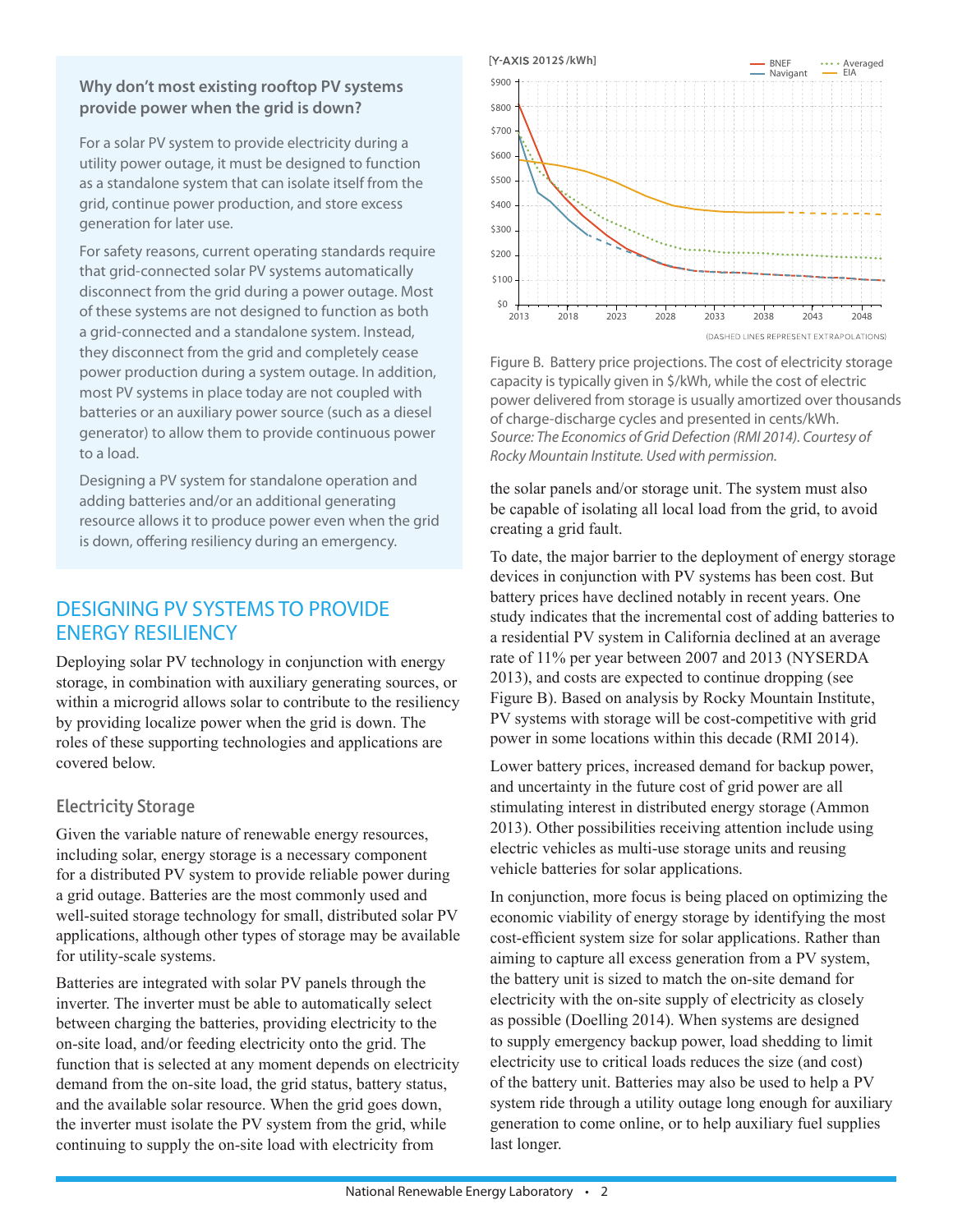#### **Why don't most existing rooftop PV systems provide power when the grid is down?**

For a solar PV system to provide electricity during a utility power outage, it must be designed to function as a standalone system that can isolate itself from the grid, continue power production, and store excess generation for later use.

For safety reasons, current operating standards require that grid-connected solar PV systems automatically disconnect from the grid during a power outage. Most of these systems are not designed to function as both a grid-connected and a standalone system. Instead, they disconnect from the grid and completely cease power production during a system outage. In addition, most PV systems in place today are not coupled with batteries or an auxiliary power source (such as a diesel generator) to allow them to provide continuous power to a load.

Designing a PV system for standalone operation and adding batteries and/or an additional generating resource allows it to produce power even when the grid is down, offering resiliency during an emergency.

# DESIGNING PV SYSTEMS TO PROVIDE ENERGY RESILIENCY

Deploying solar PV technology in conjunction with energy storage, in combination with auxiliary generating sources, or within a microgrid allows solar to contribute to the resiliency by providing localize power when the grid is down. The roles of these supporting technologies and applications are covered below.

#### Electricity Storage

Given the variable nature of renewable energy resources, including solar, energy storage is a necessary component for a distributed PV system to provide reliable power during a grid outage. Batteries are the most commonly used and well-suited storage technology for small, distributed solar PV applications, although other types of storage may be available for utility-scale systems.

Batteries are integrated with solar PV panels through the inverter. The inverter must be able to automatically select between charging the batteries, providing electricity to the on-site load, and/or feeding electricity onto the grid. The function that is selected at any moment depends on electricity demand from the on-site load, the grid status, battery status, and the available solar resource. When the grid goes down, the inverter must isolate the PV system from the grid, while continuing to supply the on-site load with electricity from



Figure B. Battery price projections. The cost of electricity storage capacity is typically given in \$/kWh, while the cost of electric power delivered from storage is usually amortized over thousands of charge-discharge cycles and presented in cents/kWh. *Source: The Economics of Grid Defection (RMI 2014). Courtesy of Rocky Mountain Institute. Used with permission.*

the solar panels and/or storage unit. The system must also be capable of isolating all local load from the grid, to avoid creating a grid fault.

To date, the major barrier to the deployment of energy storage devices in conjunction with PV systems has been cost. But battery prices have declined notably in recent years. One study indicates that the incremental cost of adding batteries to a residential PV system in California declined at an average rate of 11% per year between 2007 and 2013 (NYSERDA 2013), and costs are expected to continue dropping (see Figure B). Based on analysis by Rocky Mountain Institute, PV systems with storage will be cost-competitive with grid power in some locations within this decade (RMI 2014).

Lower battery prices, increased demand for backup power, and uncertainty in the future cost of grid power are all stimulating interest in distributed energy storage (Ammon 2013). Other possibilities receiving attention include using electric vehicles as multi-use storage units and reusing vehicle batteries for solar applications.

In conjunction, more focus is being placed on optimizing the economic viability of energy storage by identifying the most cost-efficient system size for solar applications. Rather than aiming to capture all excess generation from a PV system, the battery unit is sized to match the on-site demand for electricity with the on-site supply of electricity as closely as possible (Doelling 2014). When systems are designed to supply emergency backup power, load shedding to limit electricity use to critical loads reduces the size (and cost) of the battery unit. Batteries may also be used to help a PV system ride through a utility outage long enough for auxiliary generation to come online, or to help auxiliary fuel supplies last longer.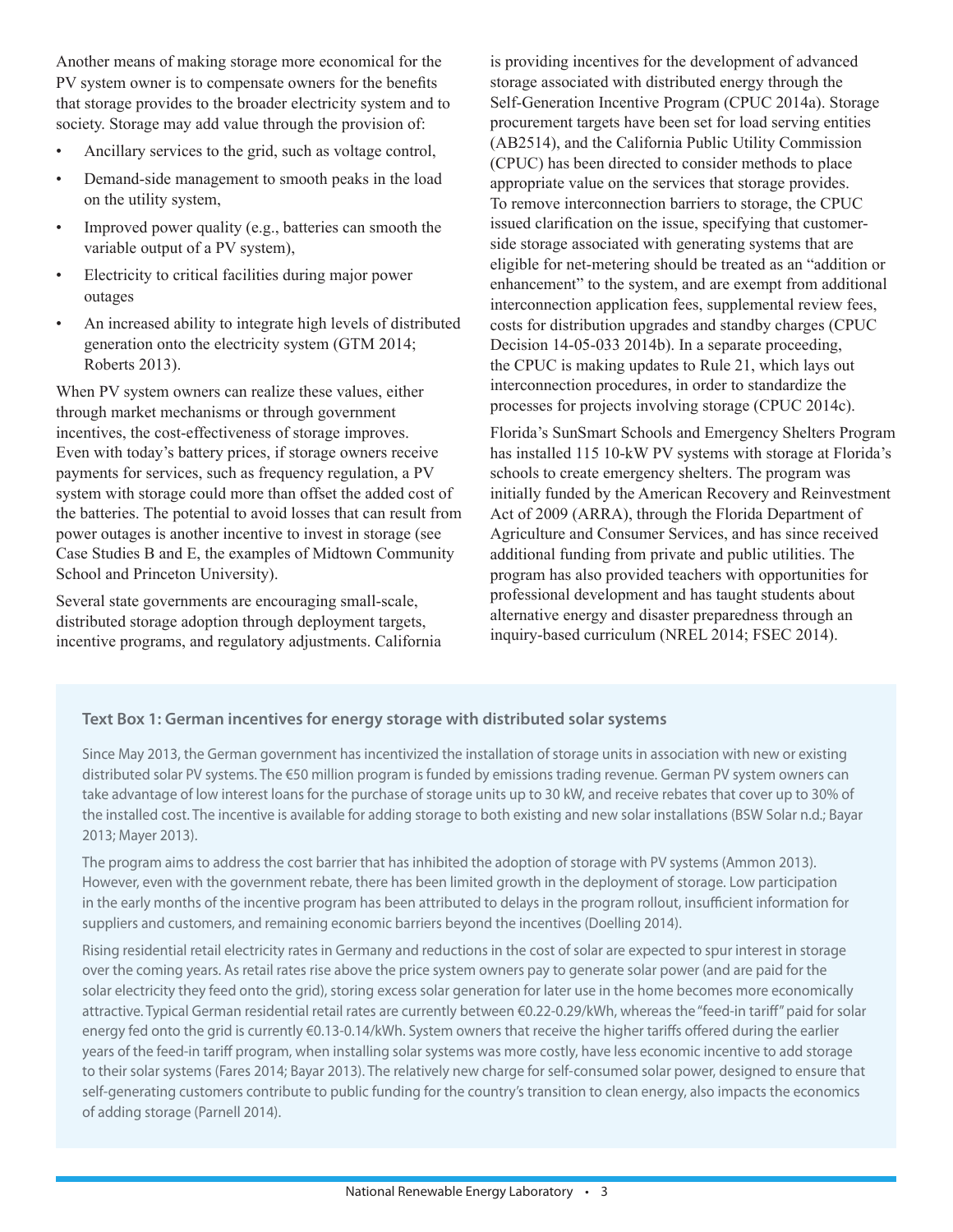Another means of making storage more economical for the PV system owner is to compensate owners for the benefits that storage provides to the broader electricity system and to society. Storage may add value through the provision of:

- Ancillary services to the grid, such as voltage control,
- Demand-side management to smooth peaks in the load on the utility system,
- Improved power quality (e.g., batteries can smooth the variable output of a PV system),
- Electricity to critical facilities during major power outages
- An increased ability to integrate high levels of distributed generation onto the electricity system (GTM 2014; Roberts 2013).

When PV system owners can realize these values, either through market mechanisms or through government incentives, the cost-effectiveness of storage improves. Even with today's battery prices, if storage owners receive payments for services, such as frequency regulation, a PV system with storage could more than offset the added cost of the batteries. The potential to avoid losses that can result from power outages is another incentive to invest in storage (see Case Studies B and E, the examples of Midtown Community School and Princeton University).

Several state governments are encouraging small-scale, distributed storage adoption through deployment targets, incentive programs, and regulatory adjustments. California is providing incentives for the development of advanced storage associated with distributed energy through the Self-Generation Incentive Program (CPUC 2014a). Storage procurement targets have been set for load serving entities (AB2514), and the California Public Utility Commission (CPUC) has been directed to consider methods to place appropriate value on the services that storage provides. To remove interconnection barriers to storage, the CPUC issued clarification on the issue, specifying that customerside storage associated with generating systems that are eligible for net-metering should be treated as an "addition or enhancement" to the system, and are exempt from additional interconnection application fees, supplemental review fees, costs for distribution upgrades and standby charges (CPUC Decision 14-05-033 2014b). In a separate proceeding, the CPUC is making updates to Rule 21, which lays out interconnection procedures, in order to standardize the processes for projects involving storage (CPUC 2014c).

Florida's SunSmart Schools and Emergency Shelters Program has installed 115 10-kW PV systems with storage at Florida's schools to create emergency shelters. The program was initially funded by the American Recovery and Reinvestment Act of 2009 (ARRA), through the Florida Department of Agriculture and Consumer Services, and has since received additional funding from private and public utilities. The program has also provided teachers with opportunities for professional development and has taught students about alternative energy and disaster preparedness through an inquiry-based curriculum (NREL 2014; FSEC 2014).

#### **Text Box 1: German incentives for energy storage with distributed solar systems**

Since May 2013, the German government has incentivized the installation of storage units in association with new or existing distributed solar PV systems. The €50 million program is funded by emissions trading revenue. German PV system owners can take advantage of low interest loans for the purchase of storage units up to 30 kW, and receive rebates that cover up to 30% of the installed cost. The incentive is available for adding storage to both existing and new solar installations (BSW Solar n.d.; Bayar 2013; Mayer 2013).

The program aims to address the cost barrier that has inhibited the adoption of storage with PV systems (Ammon 2013). However, even with the government rebate, there has been limited growth in the deployment of storage. Low participation in the early months of the incentive program has been attributed to delays in the program rollout, insufficient information for suppliers and customers, and remaining economic barriers beyond the incentives (Doelling 2014).

Rising residential retail electricity rates in Germany and reductions in the cost of solar are expected to spur interest in storage over the coming years. As retail rates rise above the price system owners pay to generate solar power (and are paid for the solar electricity they feed onto the grid), storing excess solar generation for later use in the home becomes more economically attractive. Typical German residential retail rates are currently between €0.22-0.29/kWh, whereas the "feed-in tariff" paid for solar energy fed onto the grid is currently €0.13-0.14/kWh. System owners that receive the higher tariffs offered during the earlier years of the feed-in tariff program, when installing solar systems was more costly, have less economic incentive to add storage to their solar systems (Fares 2014; Bayar 2013). The relatively new charge for self-consumed solar power, designed to ensure that self-generating customers contribute to public funding for the country's transition to clean energy, also impacts the economics of adding storage (Parnell 2014).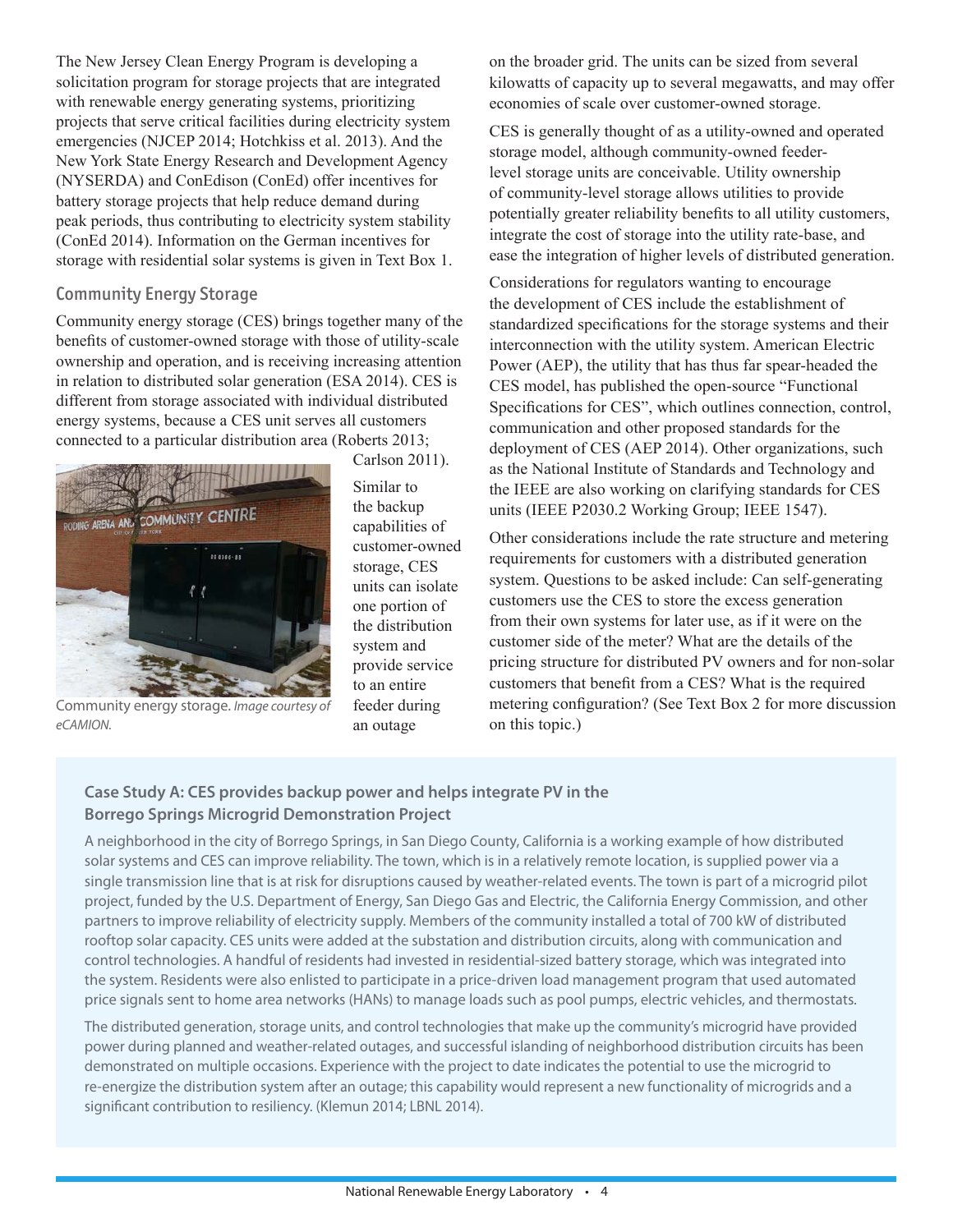The New Jersey Clean Energy Program is developing a solicitation program for storage projects that are integrated with renewable energy generating systems, prioritizing projects that serve critical facilities during electricity system emergencies (NJCEP 2014; Hotchkiss et al. 2013). And the New York State Energy Research and Development Agency (NYSERDA) and ConEdison (ConEd) offer incentives for battery storage projects that help reduce demand during peak periods, thus contributing to electricity system stability (ConEd 2014). Information on the German incentives for storage with residential solar systems is given in Text Box 1.

#### Community Energy Storage

Community energy storage (CES) brings together many of the benefits of customer-owned storage with those of utility-scale ownership and operation, and is receiving increasing attention in relation to distributed solar generation (ESA 2014). CES is different from storage associated with individual distributed energy systems, because a CES unit serves all customers connected to a particular distribution area (Roberts 2013; Carlson 2011).



Similar to the backup capabilities of customer-owned storage, CES units can isolate one portion of the distribution system and provide service to an entire feeder during an outage

Community energy storage. *Image courtesy of eCAMION.*

on the broader grid. The units can be sized from several kilowatts of capacity up to several megawatts, and may offer economies of scale over customer-owned storage.

CES is generally thought of as a utility-owned and operated storage model, although community-owned feederlevel storage units are conceivable. Utility ownership of community-level storage allows utilities to provide potentially greater reliability benefits to all utility customers, integrate the cost of storage into the utility rate-base, and ease the integration of higher levels of distributed generation.

Considerations for regulators wanting to encourage the development of CES include the establishment of standardized specifications for the storage systems and their interconnection with the utility system. American Electric Power (AEP), the utility that has thus far spear-headed the CES model, has published the open-source "Functional Specifications for CES", which outlines connection, control, communication and other proposed standards for the deployment of CES (AEP 2014). Other organizations, such as the National Institute of Standards and Technology and the IEEE are also working on clarifying standards for CES units (IEEE P2030.2 Working Group; IEEE 1547).

Other considerations include the rate structure and metering requirements for customers with a distributed generation system. Questions to be asked include: Can self-generating customers use the CES to store the excess generation from their own systems for later use, as if it were on the customer side of the meter? What are the details of the pricing structure for distributed PV owners and for non-solar customers that benefit from a CES? What is the required metering configuration? (See Text Box 2 for more discussion on this topic.)

#### **Case Study A: CES provides backup power and helps integrate PV in the Borrego Springs Microgrid Demonstration Project**

A neighborhood in the city of Borrego Springs, in San Diego County, California is a working example of how distributed solar systems and CES can improve reliability. The town, which is in a relatively remote location, is supplied power via a single transmission line that is at risk for disruptions caused by weather-related events. The town is part of a microgrid pilot project, funded by the U.S. Department of Energy, San Diego Gas and Electric, the California Energy Commission, and other partners to improve reliability of electricity supply. Members of the community installed a total of 700 kW of distributed rooftop solar capacity. CES units were added at the substation and distribution circuits, along with communication and control technologies. A handful of residents had invested in residential-sized battery storage, which was integrated into the system. Residents were also enlisted to participate in a price-driven load management program that used automated price signals sent to home area networks (HANs) to manage loads such as pool pumps, electric vehicles, and thermostats.

The distributed generation, storage units, and control technologies that make up the community's microgrid have provided power during planned and weather-related outages, and successful islanding of neighborhood distribution circuits has been demonstrated on multiple occasions. Experience with the project to date indicates the potential to use the microgrid to re-energize the distribution system after an outage; this capability would represent a new functionality of microgrids and a significant contribution to resiliency. (Klemun 2014; LBNL 2014).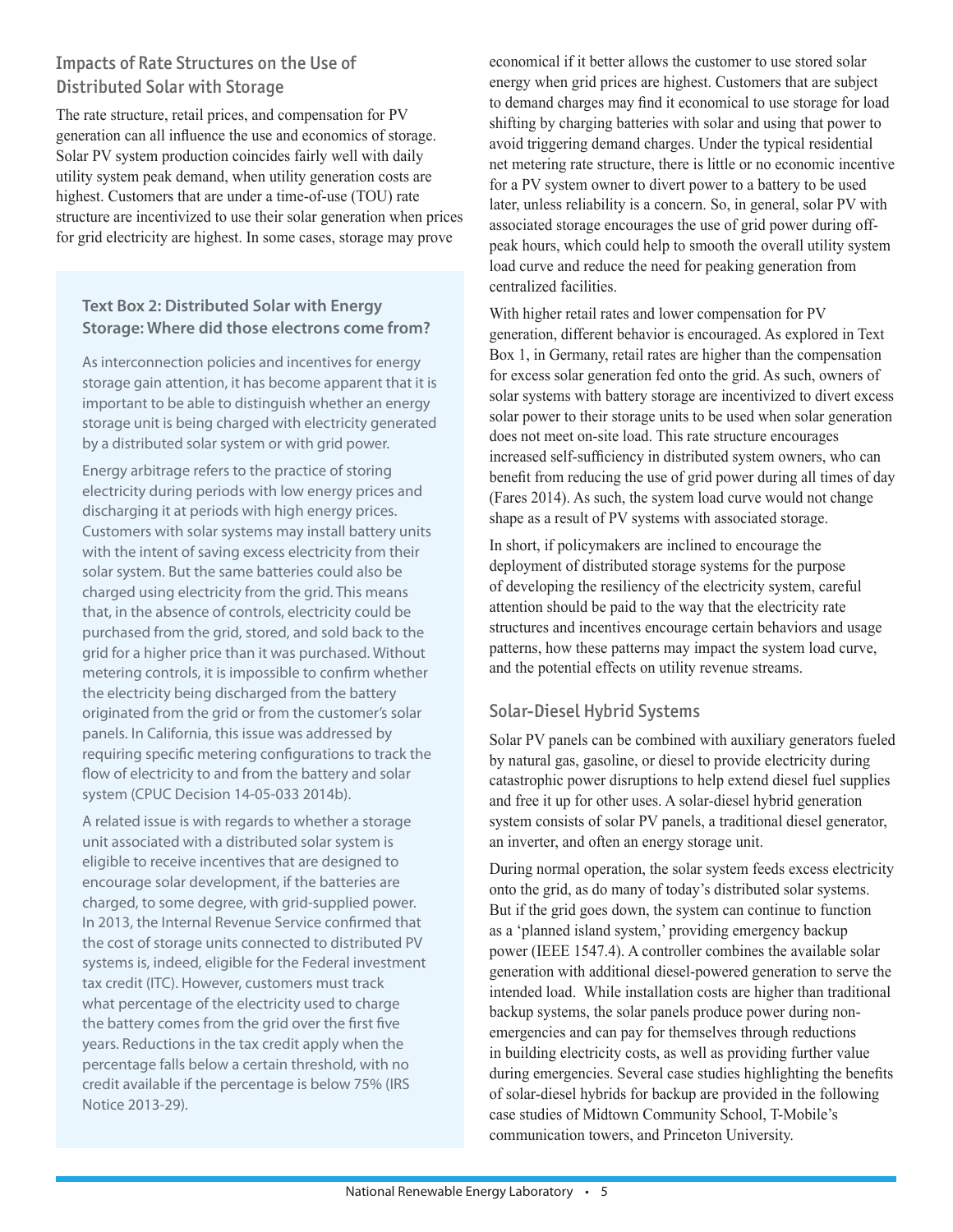## Impacts of Rate Structures on the Use of Distributed Solar with Storage

The rate structure, retail prices, and compensation for PV generation can all influence the use and economics of storage. Solar PV system production coincides fairly well with daily utility system peak demand, when utility generation costs are highest. Customers that are under a time-of-use (TOU) rate structure are incentivized to use their solar generation when prices for grid electricity are highest. In some cases, storage may prove

#### **Text Box 2: Distributed Solar with Energy Storage: Where did those electrons come from?**

As interconnection policies and incentives for energy storage gain attention, it has become apparent that it is important to be able to distinguish whether an energy storage unit is being charged with electricity generated by a distributed solar system or with grid power.

Energy arbitrage refers to the practice of storing electricity during periods with low energy prices and discharging it at periods with high energy prices. Customers with solar systems may install battery units with the intent of saving excess electricity from their solar system. But the same batteries could also be charged using electricity from the grid. This means that, in the absence of controls, electricity could be purchased from the grid, stored, and sold back to the grid for a higher price than it was purchased. Without metering controls, it is impossible to confirm whether the electricity being discharged from the battery originated from the grid or from the customer's solar panels. In California, this issue was addressed by requiring specific metering configurations to track the flow of electricity to and from the battery and solar system (CPUC Decision 14-05-033 2014b).

A related issue is with regards to whether a storage unit associated with a distributed solar system is eligible to receive incentives that are designed to encourage solar development, if the batteries are charged, to some degree, with grid-supplied power. In 2013, the Internal Revenue Service confirmed that the cost of storage units connected to distributed PV systems is, indeed, eligible for the Federal investment tax credit (ITC). However, customers must track what percentage of the electricity used to charge the battery comes from the grid over the first five years. Reductions in the tax credit apply when the percentage falls below a certain threshold, with no credit available if the percentage is below 75% (IRS Notice 2013-29).

economical if it better allows the customer to use stored solar energy when grid prices are highest. Customers that are subject to demand charges may find it economical to use storage for load shifting by charging batteries with solar and using that power to avoid triggering demand charges. Under the typical residential net metering rate structure, there is little or no economic incentive for a PV system owner to divert power to a battery to be used later, unless reliability is a concern. So, in general, solar PV with associated storage encourages the use of grid power during offpeak hours, which could help to smooth the overall utility system load curve and reduce the need for peaking generation from centralized facilities.

With higher retail rates and lower compensation for PV generation, different behavior is encouraged. As explored in Text Box 1, in Germany, retail rates are higher than the compensation for excess solar generation fed onto the grid. As such, owners of solar systems with battery storage are incentivized to divert excess solar power to their storage units to be used when solar generation does not meet on-site load. This rate structure encourages increased self-sufficiency in distributed system owners, who can benefit from reducing the use of grid power during all times of day (Fares 2014). As such, the system load curve would not change shape as a result of PV systems with associated storage.

In short, if policymakers are inclined to encourage the deployment of distributed storage systems for the purpose of developing the resiliency of the electricity system, careful attention should be paid to the way that the electricity rate structures and incentives encourage certain behaviors and usage patterns, how these patterns may impact the system load curve, and the potential effects on utility revenue streams.

## Solar-Diesel Hybrid Systems

Solar PV panels can be combined with auxiliary generators fueled by natural gas, gasoline, or diesel to provide electricity during catastrophic power disruptions to help extend diesel fuel supplies and free it up for other uses. A solar-diesel hybrid generation system consists of solar PV panels, a traditional diesel generator, an inverter, and often an energy storage unit.

During normal operation, the solar system feeds excess electricity onto the grid, as do many of today's distributed solar systems. But if the grid goes down, the system can continue to function as a 'planned island system,' providing emergency backup power (IEEE 1547.4). A controller combines the available solar generation with additional diesel-powered generation to serve the intended load. While installation costs are higher than traditional backup systems, the solar panels produce power during nonemergencies and can pay for themselves through reductions in building electricity costs, as well as providing further value during emergencies. Several case studies highlighting the benefits of solar-diesel hybrids for backup are provided in the following case studies of Midtown Community School, T-Mobile's communication towers, and Princeton University.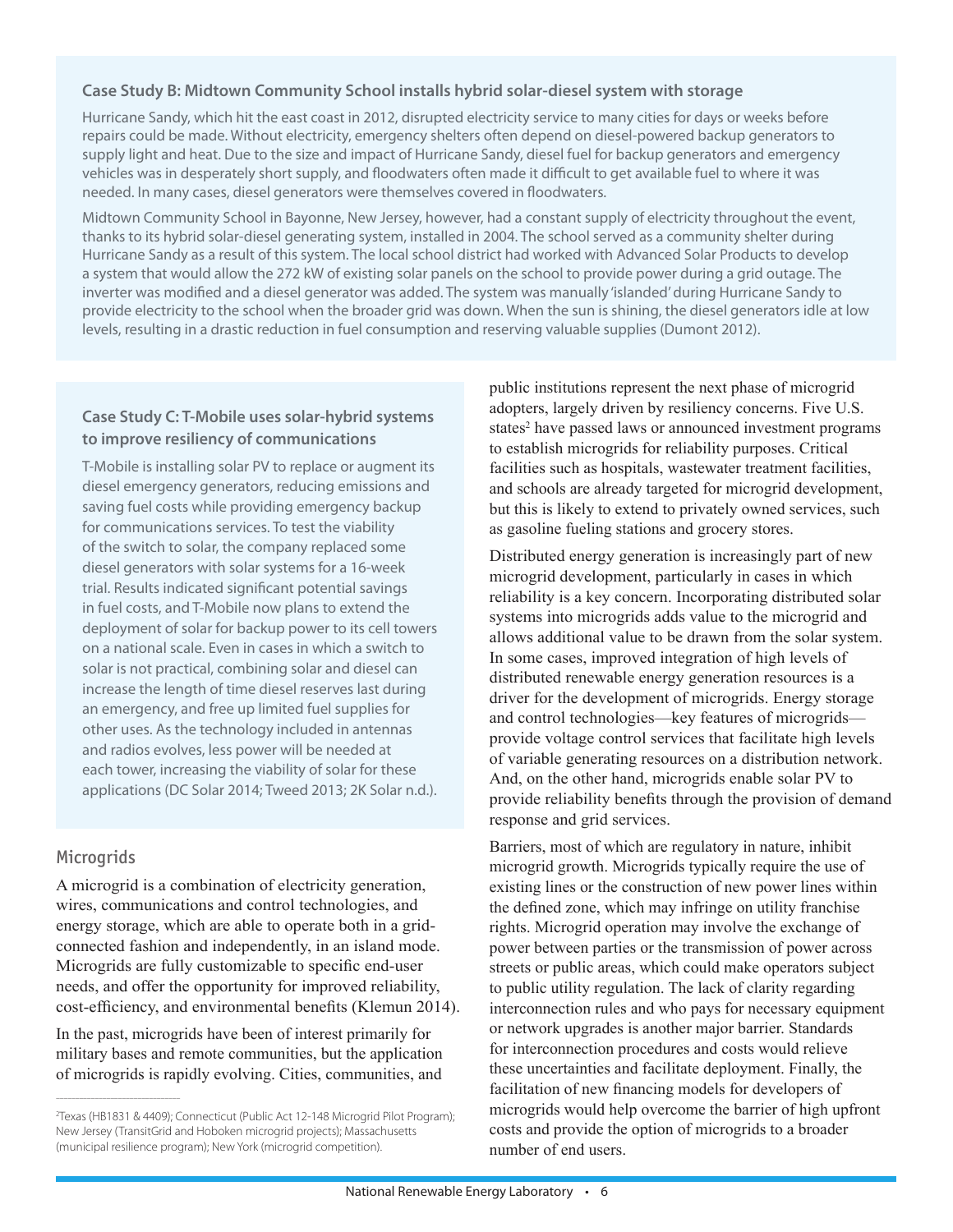#### **Case Study B: Midtown Community School installs hybrid solar-diesel system with storage**

Hurricane Sandy, which hit the east coast in 2012, disrupted electricity service to many cities for days or weeks before repairs could be made. Without electricity, emergency shelters often depend on diesel-powered backup generators to supply light and heat. Due to the size and impact of Hurricane Sandy, diesel fuel for backup generators and emergency vehicles was in desperately short supply, and floodwaters often made it difficult to get available fuel to where it was needed. In many cases, diesel generators were themselves covered in floodwaters.

Midtown Community School in Bayonne, New Jersey, however, had a constant supply of electricity throughout the event, thanks to its hybrid solar-diesel generating system, installed in 2004. The school served as a community shelter during Hurricane Sandy as a result of this system. The local school district had worked with Advanced Solar Products to develop a system that would allow the 272 kW of existing solar panels on the school to provide power during a grid outage. The inverter was modified and a diesel generator was added. The system was manually 'islanded' during Hurricane Sandy to provide electricity to the school when the broader grid was down. When the sun is shining, the diesel generators idle at low levels, resulting in a drastic reduction in fuel consumption and reserving valuable supplies (Dumont 2012).

#### **Case Study C: T-Mobile uses solar-hybrid systems to improve resiliency of communications**

T-Mobile is installing solar PV to replace or augment its diesel emergency generators, reducing emissions and saving fuel costs while providing emergency backup for communications services. To test the viability of the switch to solar, the company replaced some diesel generators with solar systems for a 16-week trial. Results indicated significant potential savings in fuel costs, and T-Mobile now plans to extend the deployment of solar for backup power to its cell towers on a national scale. Even in cases in which a switch to solar is not practical, combining solar and diesel can increase the length of time diesel reserves last during an emergency, and free up limited fuel supplies for other uses. As the technology included in antennas and radios evolves, less power will be needed at each tower, increasing the viability of solar for these applications (DC Solar 2014; Tweed 2013; 2K Solar n.d.).

#### **Microgrids**

––––––––––––––––––––––––––––––––

A microgrid is a combination of electricity generation, wires, communications and control technologies, and energy storage, which are able to operate both in a gridconnected fashion and independently, in an island mode. Microgrids are fully customizable to specific end-user needs, and offer the opportunity for improved reliability, cost-efficiency, and environmental benefits (Klemun 2014).

In the past, microgrids have been of interest primarily for military bases and remote communities, but the application of microgrids is rapidly evolving. Cities, communities, and public institutions represent the next phase of microgrid adopters, largely driven by resiliency concerns. Five U.S. states<sup>2</sup> have passed laws or announced investment programs to establish microgrids for reliability purposes. Critical facilities such as hospitals, wastewater treatment facilities, and schools are already targeted for microgrid development, but this is likely to extend to privately owned services, such as gasoline fueling stations and grocery stores.

Distributed energy generation is increasingly part of new microgrid development, particularly in cases in which reliability is a key concern. Incorporating distributed solar systems into microgrids adds value to the microgrid and allows additional value to be drawn from the solar system. In some cases, improved integration of high levels of distributed renewable energy generation resources is a driver for the development of microgrids. Energy storage and control technologies—key features of microgrids provide voltage control services that facilitate high levels of variable generating resources on a distribution network. And, on the other hand, microgrids enable solar PV to provide reliability benefits through the provision of demand response and grid services.

Barriers, most of which are regulatory in nature, inhibit microgrid growth. Microgrids typically require the use of existing lines or the construction of new power lines within the defined zone, which may infringe on utility franchise rights. Microgrid operation may involve the exchange of power between parties or the transmission of power across streets or public areas, which could make operators subject to public utility regulation. The lack of clarity regarding interconnection rules and who pays for necessary equipment or network upgrades is another major barrier. Standards for interconnection procedures and costs would relieve these uncertainties and facilitate deployment. Finally, the facilitation of new financing models for developers of microgrids would help overcome the barrier of high upfront costs and provide the option of microgrids to a broader number of end users.

<sup>2</sup> Texas (HB1831 & 4409); Connecticut (Public Act 12-148 Microgrid Pilot Program); New Jersey (TransitGrid and Hoboken microgrid projects); Massachusetts (municipal resilience program); New York (microgrid competition).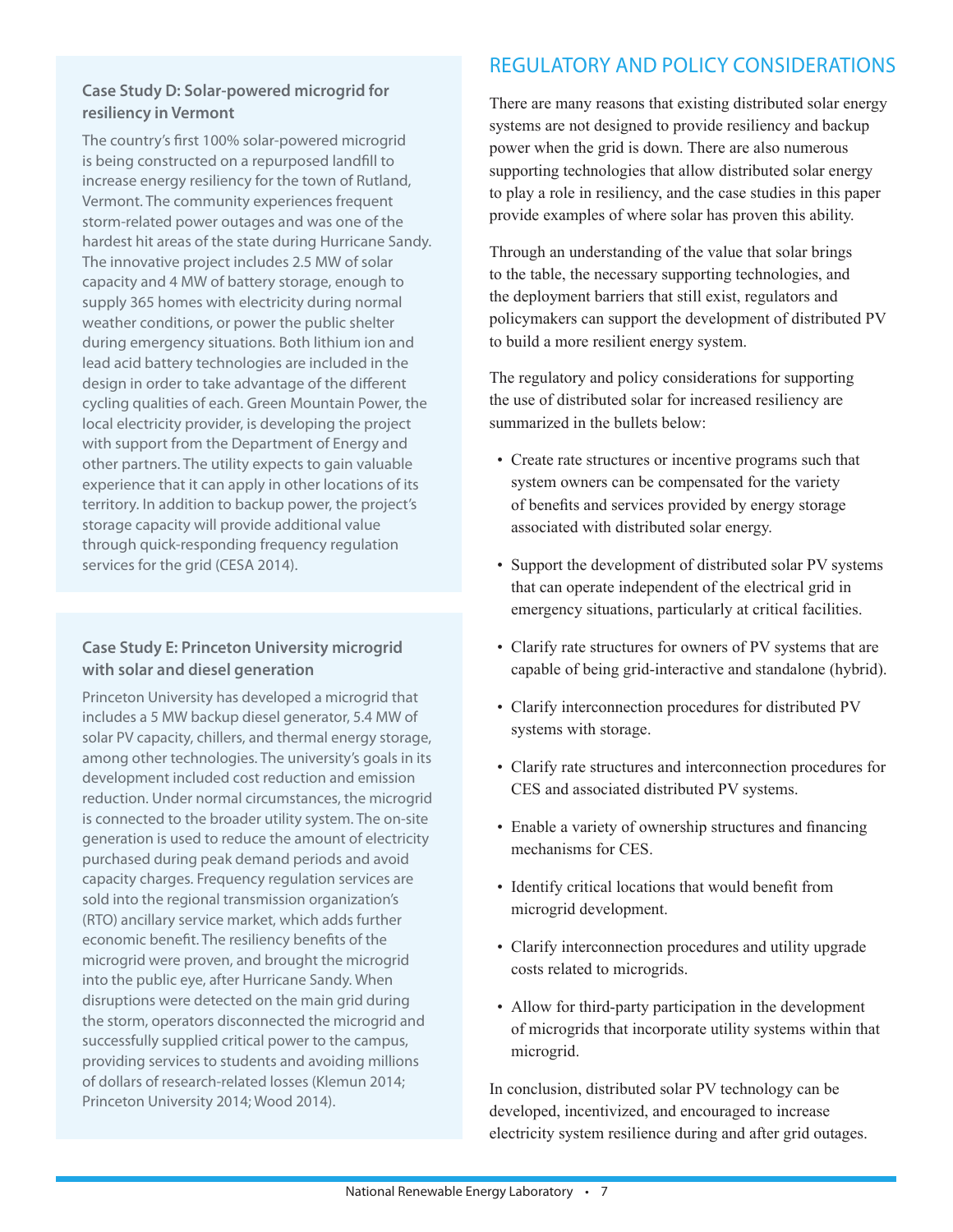#### **Case Study D: Solar-powered microgrid for resiliency in Vermont**

The country's first 100% solar-powered microgrid is being constructed on a repurposed landfill to increase energy resiliency for the town of Rutland, Vermont. The community experiences frequent storm-related power outages and was one of the hardest hit areas of the state during Hurricane Sandy. The innovative project includes 2.5 MW of solar capacity and 4 MW of battery storage, enough to supply 365 homes with electricity during normal weather conditions, or power the public shelter during emergency situations. Both lithium ion and lead acid battery technologies are included in the design in order to take advantage of the different cycling qualities of each. Green Mountain Power, the local electricity provider, is developing the project with support from the Department of Energy and other partners. The utility expects to gain valuable experience that it can apply in other locations of its territory. In addition to backup power, the project's storage capacity will provide additional value through quick-responding frequency regulation services for the grid (CESA 2014).

#### **Case Study E: Princeton University microgrid with solar and diesel generation**

Princeton University has developed a microgrid that includes a 5 MW backup diesel generator, 5.4 MW of solar PV capacity, chillers, and thermal energy storage, among other technologies. The university's goals in its development included cost reduction and emission reduction. Under normal circumstances, the microgrid is connected to the broader utility system. The on-site generation is used to reduce the amount of electricity purchased during peak demand periods and avoid capacity charges. Frequency regulation services are sold into the regional transmission organization's (RTO) ancillary service market, which adds further economic benefit. The resiliency benefits of the microgrid were proven, and brought the microgrid into the public eye, after Hurricane Sandy. When disruptions were detected on the main grid during the storm, operators disconnected the microgrid and successfully supplied critical power to the campus, providing services to students and avoiding millions of dollars of research-related losses (Klemun 2014; Princeton University 2014; Wood 2014).

# REGULATORY AND POLICY CONSIDERATIONS

There are many reasons that existing distributed solar energy systems are not designed to provide resiliency and backup power when the grid is down. There are also numerous supporting technologies that allow distributed solar energy to play a role in resiliency, and the case studies in this paper provide examples of where solar has proven this ability.

Through an understanding of the value that solar brings to the table, the necessary supporting technologies, and the deployment barriers that still exist, regulators and policymakers can support the development of distributed PV to build a more resilient energy system.

The regulatory and policy considerations for supporting the use of distributed solar for increased resiliency are summarized in the bullets below:

- Create rate structures or incentive programs such that system owners can be compensated for the variety of benefits and services provided by energy storage associated with distributed solar energy.
- Support the development of distributed solar PV systems that can operate independent of the electrical grid in emergency situations, particularly at critical facilities.
- Clarify rate structures for owners of PV systems that are capable of being grid-interactive and standalone (hybrid).
- Clarify interconnection procedures for distributed PV systems with storage.
- Clarify rate structures and interconnection procedures for CES and associated distributed PV systems.
- Enable a variety of ownership structures and financing mechanisms for CES.
- Identify critical locations that would benefit from microgrid development.
- Clarify interconnection procedures and utility upgrade costs related to microgrids.
- Allow for third-party participation in the development of microgrids that incorporate utility systems within that microgrid.

In conclusion, distributed solar PV technology can be developed, incentivized, and encouraged to increase electricity system resilience during and after grid outages.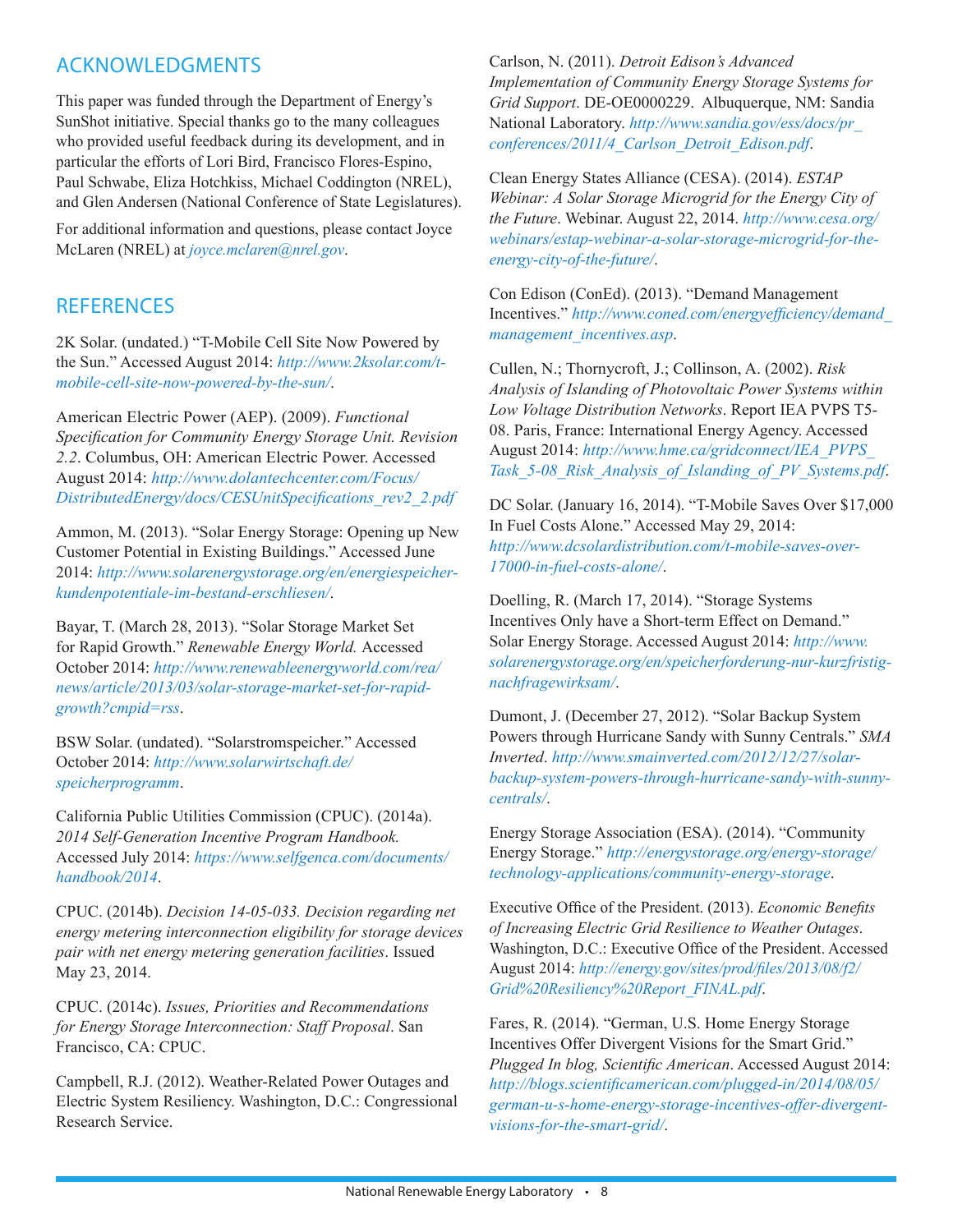# ACKNOWLEDGMENTS

This paper was funded through the Department of Energy's SunShot initiative. Special thanks go to the many colleagues who provided useful feedback during its development, and in particular the efforts of Lori Bird, Francisco Flores-Espino, Paul Schwabe, Eliza Hotchkiss, Michael Coddington (NREL), and Glen Andersen (National Conference of State Legislatures).

For additional information and questions, please contact Joyce McLaren (NREL) at *[joyce.mclaren@nrel.gov](mailto:joyce.mclaren%40nrel.gov?subject=)*.

# **REFERENCES**

2K Solar. (undated.) "T-Mobile Cell Site Now Powered by the Sun." Accessed August 2014: *[http://www.2ksolar.com/t](http://www.2ksolar.com/t-mobile-cell-site-now-powered-by-the-sun/)[mobile-cell-site-now-powered-by-the-sun/](http://www.2ksolar.com/t-mobile-cell-site-now-powered-by-the-sun/)*.

American Electric Power (AEP). (2009). *Functional Specification for Community Energy Storage Unit. Revision 2.2*. Columbus, OH: American Electric Power. Accessed August 2014: *[http://www.dolantechcenter.com/Focus/](http://www.dolantechcenter.com/Focus/DistributedEnergy/docs/CESUnitSpecifications_rev2_2.pdf) [DistributedEnergy/docs/CESUnitSpecifications\\_rev2\\_2.pdf](http://www.dolantechcenter.com/Focus/DistributedEnergy/docs/CESUnitSpecifications_rev2_2.pdf)*

Ammon, M. (2013). "Solar Energy Storage: Opening up New Customer Potential in Existing Buildings." Accessed June 2014: *[http://www.solarenergystorage.org/en/energiespeicher](http://www.solarenergystorage.org/en/energiespeicher-kundenpotentiale-im-bestand-erschliesen/
)[kundenpotentiale-im-bestand-erschliesen/](http://www.solarenergystorage.org/en/energiespeicher-kundenpotentiale-im-bestand-erschliesen/
)*.

Bayar, T. (March 28, 2013). "Solar Storage Market Set for Rapid Growth." *Renewable Energy World.* Accessed October 2014: *[http://www.renewableenergyworld.com/rea/](http://www.renewableenergyworld.com/rea/news/article/2013/03/solar-storage-market-set-for-rapid-growth?cmpid=rss) [news/article/2013/03/solar-storage-market-set-for-rapid](http://www.renewableenergyworld.com/rea/news/article/2013/03/solar-storage-market-set-for-rapid-growth?cmpid=rss)[growth?cmpid=rss](http://www.renewableenergyworld.com/rea/news/article/2013/03/solar-storage-market-set-for-rapid-growth?cmpid=rss)*.

BSW Solar. (undated). "Solarstromspeicher." Accessed October 2014: *[http://www.solarwirtschaft.de/](http://www.solarwirtschaft.de/speicherprogramm) [speicherprogramm](http://www.solarwirtschaft.de/speicherprogramm)*.

California Public Utilities Commission (CPUC). (2014a). *2014 Self-Generation Incentive Program Handbook.*  Accessed July 2014: *[https://www.selfgenca.com/documents/](https://www.selfgenca.com/documents/handbook/2014) [handbook/2014](https://www.selfgenca.com/documents/handbook/2014)*.

CPUC. (2014b). *Decision 14-05-033. Decision regarding net energy metering interconnection eligibility for storage devices pair with net energy metering generation facilities*. Issued May 23, 2014.

CPUC. (2014c). *Issues, Priorities and Recommendations for Energy Storage Interconnection: Staff Proposal*. San Francisco, CA: CPUC.

Campbell, R.J. (2012). Weather-Related Power Outages and Electric System Resiliency. Washington, D.C.: Congressional Research Service.

Carlson, N. (2011). *Detroit Edison's Advanced Implementation of Community Energy Storage Systems for Grid Support*. DE-OE0000229. Albuquerque, NM: Sandia National Laboratory. *[http://www.sandia.gov/ess/docs/pr\\_](http://www.sandia.gov/ess/docs/pr_conferences/2011/4_Carlson_Detroit_Edison.pdf) [conferences/2011/4\\_Carlson\\_Detroit\\_Edison.pdf](http://www.sandia.gov/ess/docs/pr_conferences/2011/4_Carlson_Detroit_Edison.pdf)*.

Clean Energy States Alliance (CESA). (2014). *ESTAP Webinar: A Solar Storage Microgrid for the Energy City of the Future*. Webinar. August 22, 2014. *[http://www.cesa.org/](http://www.cesa.org/webinars/estap-webinar-a-solar-storage-microgrid-for-the-energy-city-of-the-future/) [webinars/estap-webinar-a-solar-storage-microgrid-for-the](http://www.cesa.org/webinars/estap-webinar-a-solar-storage-microgrid-for-the-energy-city-of-the-future/)[energy-city-of-the-future/](http://www.cesa.org/webinars/estap-webinar-a-solar-storage-microgrid-for-the-energy-city-of-the-future/)*.

Con Edison (ConEd). (2013). "Demand Management Incentives." *[http://www.coned.com/energyefficiency/demand\\_](http://www.coned.com/energyefficiency/demand_management_incentives.asp) [management\\_incentives.asp](http://www.coned.com/energyefficiency/demand_management_incentives.asp)*.

Cullen, N.; Thornycroft, J.; Collinson, A. (2002). *Risk Analysis of Islanding of Photovoltaic Power Systems within Low Voltage Distribution Networks*. Report IEA PVPS T5- 08. Paris, France: International Energy Agency. Accessed August 2014: *[http://www.hme.ca/gridconnect/IEA\\_PVPS\\_](http://www.hme.ca/gridconnect/IEA_PVPS_Task_5-08_Risk_Analysis_of_Islanding_of_PV_Systems.pdf) [Task\\_5-08\\_Risk\\_Analysis\\_of\\_Islanding\\_of\\_PV\\_Systems.pdf](http://www.hme.ca/gridconnect/IEA_PVPS_Task_5-08_Risk_Analysis_of_Islanding_of_PV_Systems.pdf)*.

DC Solar. (January 16, 2014). "T-Mobile Saves Over \$17,000 In Fuel Costs Alone." Accessed May 29, 2014: *[http://www.dcsolardistribution.com/t-mobile-saves-over-](http://www.dcsolardistribution.com/t-mobile-saves-over-17000-in-fuel-costs-alone/)[17000-in-fuel-costs-alone/](http://www.dcsolardistribution.com/t-mobile-saves-over-17000-in-fuel-costs-alone/)*.

Doelling, R. (March 17, 2014). "Storage Systems Incentives Only have a Short-term Effect on Demand." Solar Energy Storage. Accessed August 2014: *[http://www.](http://www.solarenergystorage.org/en/speicherforderung-nur-kurzfristig-nachfragewirksam/) [solarenergystorage.org/en/speicherforderung-nur-kurzfristig](http://www.solarenergystorage.org/en/speicherforderung-nur-kurzfristig-nachfragewirksam/)[nachfragewirksam/](http://www.solarenergystorage.org/en/speicherforderung-nur-kurzfristig-nachfragewirksam/)*.

Dumont, J. (December 27, 2012). "Solar Backup System Powers through Hurricane Sandy with Sunny Centrals." *SMA Inverted*. *[http://www.smainverted.com/2012/12/27/solar](http://www.smainverted.com/2012/12/27/solar-backup-system-powers-through-hurricane-sandy-with-sunny-centrals/)[backup-system-powers-through-hurricane-sandy-with-sunny](http://www.smainverted.com/2012/12/27/solar-backup-system-powers-through-hurricane-sandy-with-sunny-centrals/)[centrals/](http://www.smainverted.com/2012/12/27/solar-backup-system-powers-through-hurricane-sandy-with-sunny-centrals/)*.

Energy Storage Association (ESA). (2014). "Community Energy Storage." *[http://energystorage.org/energy-storage/](http://energystorage.org/energy-storage/technology-applications/community-energy-storage) [technology-applications/community-energy-storage](http://energystorage.org/energy-storage/technology-applications/community-energy-storage)*.

Executive Office of the President. (2013). *Economic Benefits of Increasing Electric Grid Resilience to Weather Outages*. Washington, D.C.: Executive Office of the President. Accessed August 2014: *[http://energy.gov/sites/prod/files/2013/08/f2/](http://energy.gov/sites/prod/files/2013/08/f2/Grid%20Resiliency%20Report_FINAL.pdf) [Grid%20Resiliency%20Report\\_FINAL.pdf](http://energy.gov/sites/prod/files/2013/08/f2/Grid%20Resiliency%20Report_FINAL.pdf)*.

Fares, R. (2014). "German, U.S. Home Energy Storage Incentives Offer Divergent Visions for the Smart Grid." *Plugged In blog, Scientific American*. Accessed August 2014: *[http://blogs.scientificamerican.com/plugged-in/2014/08/05/](http://blogs.scientificamerican.com/plugged-in/2014/08/05/german-u-s-home-energy-storage-incentives-offer-divergent-visions-for-the-smart-grid/) [german-u-s-home-energy-storage-incentives-offer-divergent](http://blogs.scientificamerican.com/plugged-in/2014/08/05/german-u-s-home-energy-storage-incentives-offer-divergent-visions-for-the-smart-grid/)[visions-for-the-smart-grid/](http://blogs.scientificamerican.com/plugged-in/2014/08/05/german-u-s-home-energy-storage-incentives-offer-divergent-visions-for-the-smart-grid/)*.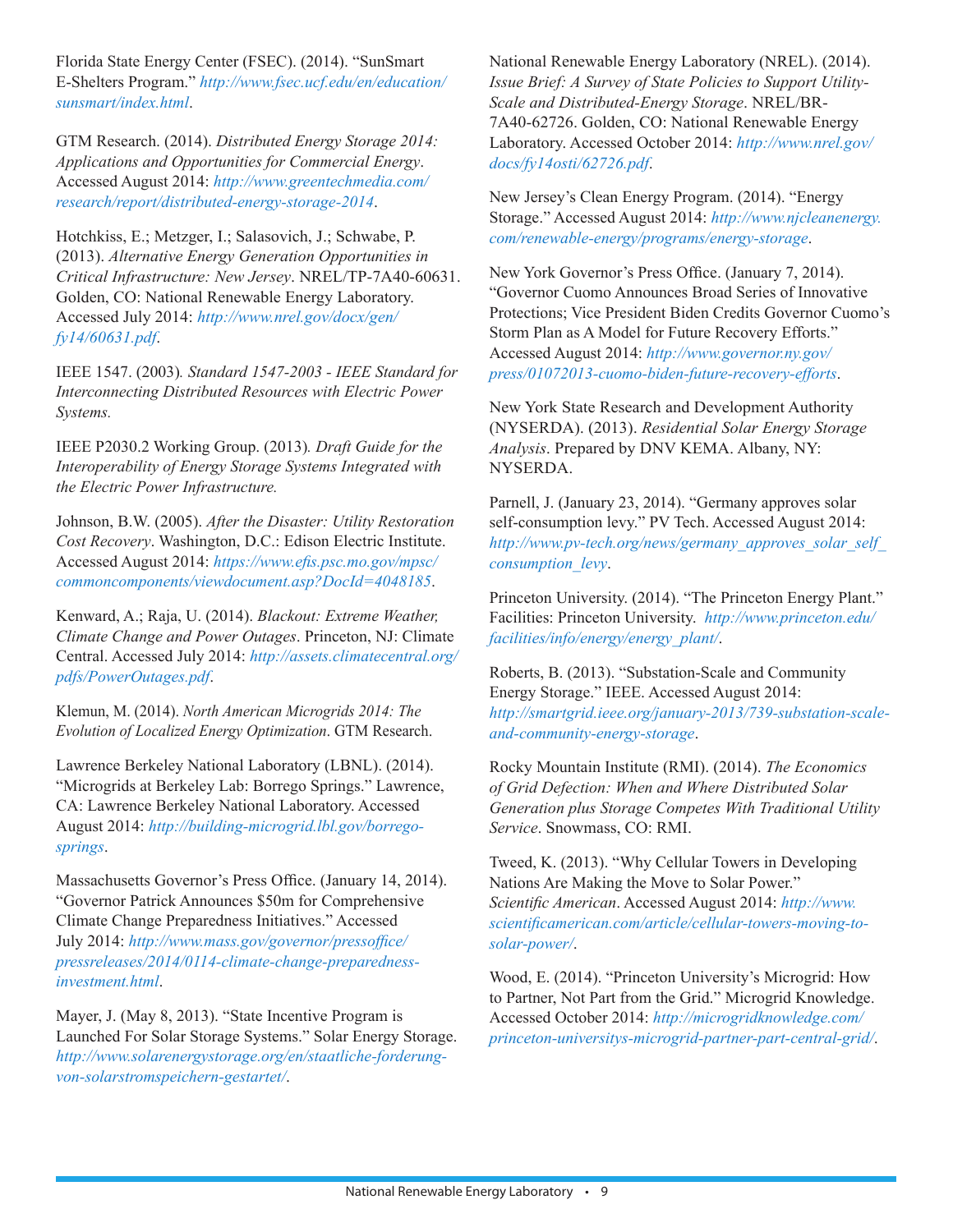Florida State Energy Center (FSEC). (2014). "SunSmart E-Shelters Program." *[http://www.fsec.ucf.edu/en/education/](http://www.fsec.ucf.edu/en/education/sunsmart/index.html) [sunsmart/index.html](http://www.fsec.ucf.edu/en/education/sunsmart/index.html)*.

GTM Research. (2014). *Distributed Energy Storage 2014: Applications and Opportunities for Commercial Energy*. Accessed August 2014: *[http://www.greentechmedia.com/](http://www.greentechmedia.com/research/report/distributed-energy-storage-2014) [research/report/distributed-energy-storage-2014](http://www.greentechmedia.com/research/report/distributed-energy-storage-2014)*.

Hotchkiss, E.; Metzger, I.; Salasovich, J.; Schwabe, P. (2013). *Alternative Energy Generation Opportunities in Critical Infrastructure: New Jersey*. NREL/TP-7A40-60631. Golden, CO: National Renewable Energy Laboratory. Accessed July 2014: *[http://www.nrel.gov/docx/gen/](http://www.nrel.gov/docx/gen/fy14/60631.pdf) [fy14/60631.pdf](http://www.nrel.gov/docx/gen/fy14/60631.pdf)*.

IEEE 1547. (2003)*. Standard 1547-2003 - IEEE Standard for Interconnecting Distributed Resources with Electric Power Systems.*

IEEE P2030.2 Working Group. (2013)*. Draft Guide for the Interoperability of Energy Storage Systems Integrated with the Electric Power Infrastructure.*

Johnson, B.W. (2005). *After the Disaster: Utility Restoration Cost Recovery*. Washington, D.C.: Edison Electric Institute. Accessed August 2014: *[https://www.efis.psc.mo.gov/mpsc/](https://www.efis.psc.mo.gov/mpsc/commoncomponents/viewdocument.asp?DocId=4048185) [commoncomponents/viewdocument.asp?DocId=4048185](https://www.efis.psc.mo.gov/mpsc/commoncomponents/viewdocument.asp?DocId=4048185)*.

Kenward, A.; Raja, U. (2014). *Blackout: Extreme Weather, Climate Change and Power Outages*. Princeton, NJ: Climate Central. Accessed July 2014: *[http://assets.climatecentral.org/](http://assets.climatecentral.org/pdfs/PowerOutages.pdf) [pdfs/PowerOutages.pdf](http://assets.climatecentral.org/pdfs/PowerOutages.pdf)*.

Klemun, M. (2014). *North American Microgrids 2014: The Evolution of Localized Energy Optimization*. GTM Research.

Lawrence Berkeley National Laboratory (LBNL). (2014). "Microgrids at Berkeley Lab: Borrego Springs." Lawrence, CA: Lawrence Berkeley National Laboratory. Accessed August 2014: *[http://building-microgrid.lbl.gov/borrego](http://building-microgrid.lbl.gov/borrego-springs)[springs](http://building-microgrid.lbl.gov/borrego-springs)*.

Massachusetts Governor's Press Office. (January 14, 2014). "Governor Patrick Announces \$50m for Comprehensive Climate Change Preparedness Initiatives." Accessed July 2014: *[http://www.mass.gov/governor/pressoffice/](http://www.mass.gov/governor/pressoffice/pressreleases/2014/0114-climate-change-preparedness-investment.html) [pressreleases/2014/0114-climate-change-preparedness](http://www.mass.gov/governor/pressoffice/pressreleases/2014/0114-climate-change-preparedness-investment.html)[investment.html](http://www.mass.gov/governor/pressoffice/pressreleases/2014/0114-climate-change-preparedness-investment.html)*.

Mayer, J. (May 8, 2013). "State Incentive Program is Launched For Solar Storage Systems." Solar Energy Storage. *[http://www.solarenergystorage.org/en/staatliche-forderung](http://www.solarenergystorage.org/en/staatliche-forderung-von-solarstromspeichern-gestartet/)[von-solarstromspeichern-gestartet/](http://www.solarenergystorage.org/en/staatliche-forderung-von-solarstromspeichern-gestartet/)*.

National Renewable Energy Laboratory (NREL). (2014). *Issue Brief: A Survey of State Policies to Support Utility-Scale and Distributed-Energy Storage*. NREL/BR-7A40-62726. Golden, CO: National Renewable Energy Laboratory. Accessed October 2014: *[http://www.nrel.gov/](http://www.nrel.gov/docs/fy14osti/62726.pdf) [docs/fy14osti/62726.pdf](http://www.nrel.gov/docs/fy14osti/62726.pdf)*.

New Jersey's Clean Energy Program. (2014). "Energy Storage." Accessed August 2014: *[http://www.njcleanenergy.](http://www.njcleanenergy.com/renewable-energy/programs/energy-storage) [com/renewable-energy/programs/energy-storage](http://www.njcleanenergy.com/renewable-energy/programs/energy-storage)*.

New York Governor's Press Office. (January 7, 2014). "Governor Cuomo Announces Broad Series of Innovative Protections; Vice President Biden Credits Governor Cuomo's Storm Plan as A Model for Future Recovery Efforts." Accessed August 2014: *[http://www.governor.ny.gov/](http://www.governor.ny.gov/press/01072013-cuomo-biden-future-recovery-efforts) [press/01072013-cuomo-biden-future-recovery-efforts](http://www.governor.ny.gov/press/01072013-cuomo-biden-future-recovery-efforts)*.

New York State Research and Development Authority (NYSERDA). (2013). *Residential Solar Energy Storage Analysis*. Prepared by DNV KEMA. Albany, NY: NYSERDA.

Parnell, J. (January 23, 2014). "Germany approves solar self-consumption levy." PV Tech. Accessed August 2014: *[http://www.pv-tech.org/news/germany\\_approves\\_solar\\_self\\_](http://www.pv-tech.org/news/germany_approves_solar_self_consumption_levy) [consumption\\_levy](http://www.pv-tech.org/news/germany_approves_solar_self_consumption_levy)*.

Princeton University. (2014). "The Princeton Energy Plant." Facilities: Princeton University. *[http://www.princeton.edu/](http://www.princeton.edu/facilities/info/energy/energy_plant/) [facilities/info/energy/energy\\_plant/](http://www.princeton.edu/facilities/info/energy/energy_plant/)*.

Roberts, B. (2013). "Substation-Scale and Community Energy Storage." IEEE. Accessed August 2014: *[http://smartgrid.ieee.org/january-2013/739-substation-scale](http://smartgrid.ieee.org/january-2013/739-substation-scale-and-community-energy-storage)[and-community-energy-storage](http://smartgrid.ieee.org/january-2013/739-substation-scale-and-community-energy-storage)*.

Rocky Mountain Institute (RMI). (2014). *The Economics of Grid Defection: When and Where Distributed Solar Generation plus Storage Competes With Traditional Utility Service*. Snowmass, CO: RMI.

Tweed, K. (2013). "Why Cellular Towers in Developing Nations Are Making the Move to Solar Power." *Scientific American*. Accessed August 2014: *[http://www.](http://www.scientificamerican.com/article/cellular-towers-moving-to-solar-power/) [scientificamerican.com/article/cellular-towers-moving-to](http://www.scientificamerican.com/article/cellular-towers-moving-to-solar-power/)[solar-power/](http://www.scientificamerican.com/article/cellular-towers-moving-to-solar-power/)*.

Wood, E. (2014). "Princeton University's Microgrid: How to Partner, Not Part from the Grid." Microgrid Knowledge. Accessed October 2014: *[http://microgridknowledge.com/](http://microgridknowledge.com/princeton-universitys-microgrid-partner-part-central-grid/) [princeton-universitys-microgrid-partner-part-central-grid/](http://microgridknowledge.com/princeton-universitys-microgrid-partner-part-central-grid/)*.